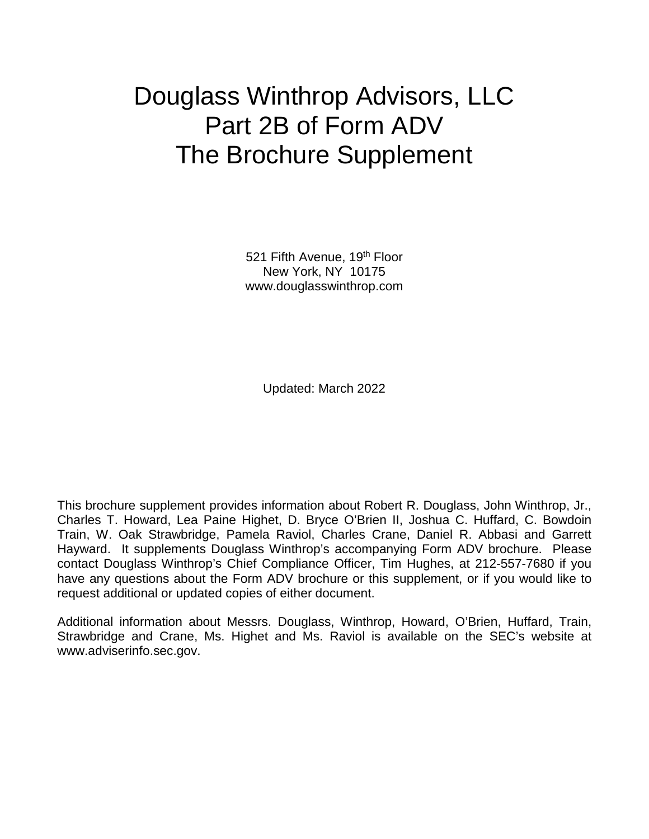# Douglass Winthrop Advisors, LLC Part 2B of Form ADV The Brochure Supplement

521 Fifth Avenue, 19<sup>th</sup> Floor New York, NY 10175 www.douglasswinthrop.com

Updated: March 2022

This brochure supplement provides information about Robert R. Douglass, John Winthrop, Jr., Charles T. Howard, Lea Paine Highet, D. Bryce O'Brien II, Joshua C. Huffard, C. Bowdoin Train, W. Oak Strawbridge, Pamela Raviol, Charles Crane, Daniel R. Abbasi and Garrett Hayward. It supplements Douglass Winthrop's accompanying Form ADV brochure. Please contact Douglass Winthrop's Chief Compliance Officer, Tim Hughes, at 212-557-7680 if you have any questions about the Form ADV brochure or this supplement, or if you would like to request additional or updated copies of either document.

Additional information about Messrs. Douglass, Winthrop, Howard, O'Brien, Huffard, Train, Strawbridge and Crane, Ms. Highet and Ms. Raviol is available on the SEC's website at [www.adviserinfo.sec.gov.](http://www.adviserinfo.sec.gov/)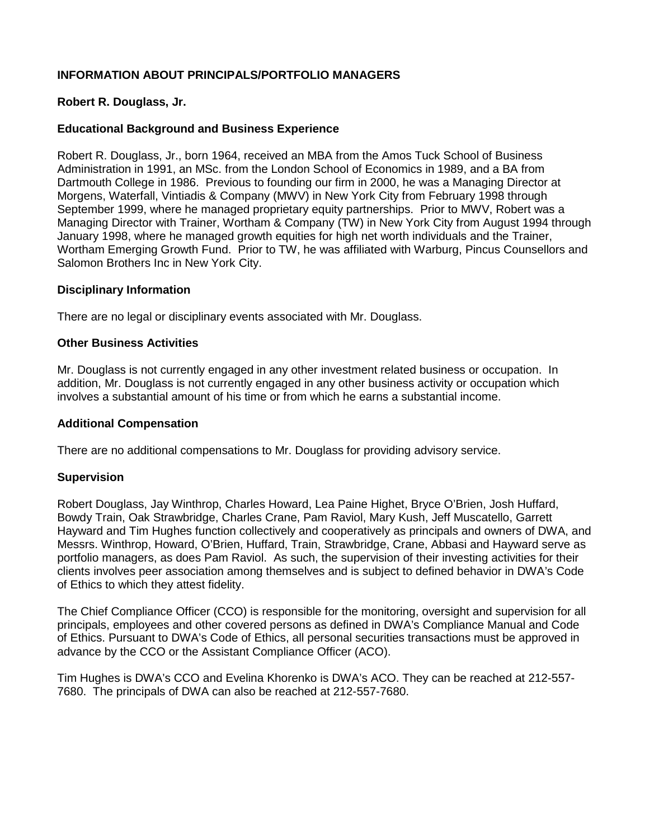# **INFORMATION ABOUT PRINCIPALS/PORTFOLIO MANAGERS**

# **Robert R. Douglass, Jr.**

# **Educational Background and Business Experience**

Robert R. Douglass, Jr., born 1964, received an MBA from the Amos Tuck School of Business Administration in 1991, an MSc. from the London School of Economics in 1989, and a BA from Dartmouth College in 1986. Previous to founding our firm in 2000, he was a Managing Director at Morgens, Waterfall, Vintiadis & Company (MWV) in New York City from February 1998 through September 1999, where he managed proprietary equity partnerships. Prior to MWV, Robert was a Managing Director with Trainer, Wortham & Company (TW) in New York City from August 1994 through January 1998, where he managed growth equities for high net worth individuals and the Trainer, Wortham Emerging Growth Fund. Prior to TW, he was affiliated with Warburg, Pincus Counsellors and Salomon Brothers Inc in New York City.

#### **Disciplinary Information**

There are no legal or disciplinary events associated with Mr. Douglass.

#### **Other Business Activities**

Mr. Douglass is not currently engaged in any other investment related business or occupation. In addition, Mr. Douglass is not currently engaged in any other business activity or occupation which involves a substantial amount of his time or from which he earns a substantial income.

#### **Additional Compensation**

There are no additional compensations to Mr. Douglass for providing advisory service.

#### **Supervision**

Robert Douglass, Jay Winthrop, Charles Howard, Lea Paine Highet, Bryce O'Brien, Josh Huffard, Bowdy Train, Oak Strawbridge, Charles Crane, Pam Raviol, Mary Kush, Jeff Muscatello, Garrett Hayward and Tim Hughes function collectively and cooperatively as principals and owners of DWA, and Messrs. Winthrop, Howard, O'Brien, Huffard, Train, Strawbridge, Crane, Abbasi and Hayward serve as portfolio managers, as does Pam Raviol. As such, the supervision of their investing activities for their clients involves peer association among themselves and is subject to defined behavior in DWA's Code of Ethics to which they attest fidelity.

The Chief Compliance Officer (CCO) is responsible for the monitoring, oversight and supervision for all principals, employees and other covered persons as defined in DWA's Compliance Manual and Code of Ethics. Pursuant to DWA's Code of Ethics, all personal securities transactions must be approved in advance by the CCO or the Assistant Compliance Officer (ACO).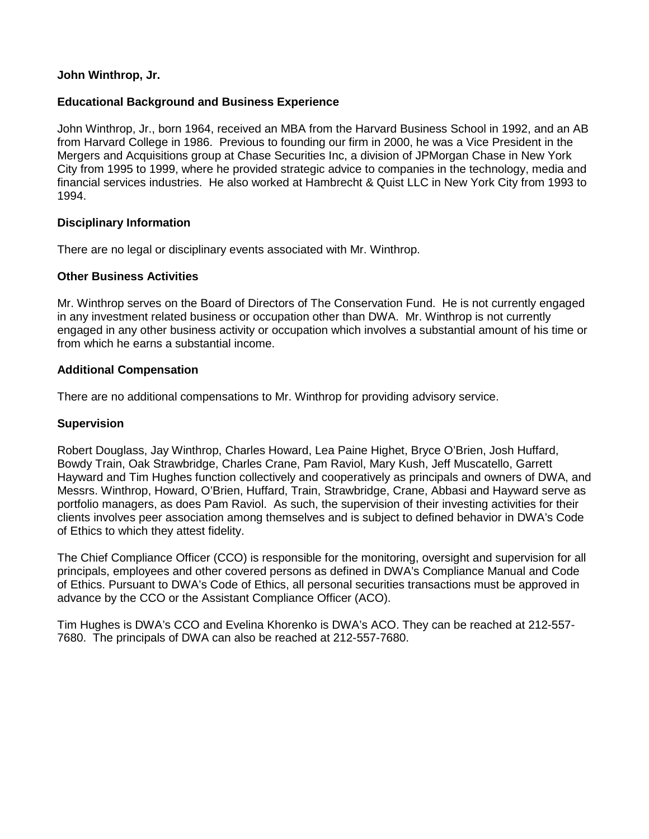# **John Winthrop, Jr.**

# **Educational Background and Business Experience**

John Winthrop, Jr., born 1964, received an MBA from the Harvard Business School in 1992, and an AB from Harvard College in 1986. Previous to founding our firm in 2000, he was a Vice President in the Mergers and Acquisitions group at Chase Securities Inc, a division of JPMorgan Chase in New York City from 1995 to 1999, where he provided strategic advice to companies in the technology, media and financial services industries. He also worked at Hambrecht & Quist LLC in New York City from 1993 to 1994.

#### **Disciplinary Information**

There are no legal or disciplinary events associated with Mr. Winthrop.

# **Other Business Activities**

Mr. Winthrop serves on the Board of Directors of The Conservation Fund. He is not currently engaged in any investment related business or occupation other than DWA. Mr. Winthrop is not currently engaged in any other business activity or occupation which involves a substantial amount of his time or from which he earns a substantial income.

# **Additional Compensation**

There are no additional compensations to Mr. Winthrop for providing advisory service.

## **Supervision**

Robert Douglass, Jay Winthrop, Charles Howard, Lea Paine Highet, Bryce O'Brien, Josh Huffard, Bowdy Train, Oak Strawbridge, Charles Crane, Pam Raviol, Mary Kush, Jeff Muscatello, Garrett Hayward and Tim Hughes function collectively and cooperatively as principals and owners of DWA, and Messrs. Winthrop, Howard, O'Brien, Huffard, Train, Strawbridge, Crane, Abbasi and Hayward serve as portfolio managers, as does Pam Raviol. As such, the supervision of their investing activities for their clients involves peer association among themselves and is subject to defined behavior in DWA's Code of Ethics to which they attest fidelity.

The Chief Compliance Officer (CCO) is responsible for the monitoring, oversight and supervision for all principals, employees and other covered persons as defined in DWA's Compliance Manual and Code of Ethics. Pursuant to DWA's Code of Ethics, all personal securities transactions must be approved in advance by the CCO or the Assistant Compliance Officer (ACO).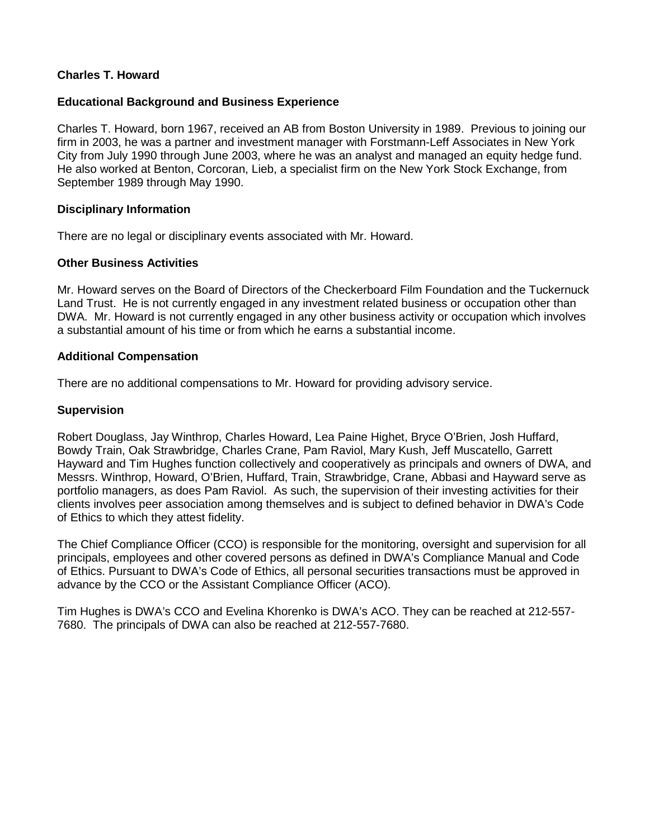# **Charles T. Howard**

## **Educational Background and Business Experience**

Charles T. Howard, born 1967, received an AB from Boston University in 1989. Previous to joining our firm in 2003, he was a partner and investment manager with Forstmann-Leff Associates in New York City from July 1990 through June 2003, where he was an analyst and managed an equity hedge fund. He also worked at Benton, Corcoran, Lieb, a specialist firm on the New York Stock Exchange, from September 1989 through May 1990.

#### **Disciplinary Information**

There are no legal or disciplinary events associated with Mr. Howard.

#### **Other Business Activities**

Mr. Howard serves on the Board of Directors of the Checkerboard Film Foundation and the Tuckernuck Land Trust. He is not currently engaged in any investment related business or occupation other than DWA. Mr. Howard is not currently engaged in any other business activity or occupation which involves a substantial amount of his time or from which he earns a substantial income.

#### **Additional Compensation**

There are no additional compensations to Mr. Howard for providing advisory service.

#### **Supervision**

Robert Douglass, Jay Winthrop, Charles Howard, Lea Paine Highet, Bryce O'Brien, Josh Huffard, Bowdy Train, Oak Strawbridge, Charles Crane, Pam Raviol, Mary Kush, Jeff Muscatello, Garrett Hayward and Tim Hughes function collectively and cooperatively as principals and owners of DWA, and Messrs. Winthrop, Howard, O'Brien, Huffard, Train, Strawbridge, Crane, Abbasi and Hayward serve as portfolio managers, as does Pam Raviol. As such, the supervision of their investing activities for their clients involves peer association among themselves and is subject to defined behavior in DWA's Code of Ethics to which they attest fidelity.

The Chief Compliance Officer (CCO) is responsible for the monitoring, oversight and supervision for all principals, employees and other covered persons as defined in DWA's Compliance Manual and Code of Ethics. Pursuant to DWA's Code of Ethics, all personal securities transactions must be approved in advance by the CCO or the Assistant Compliance Officer (ACO).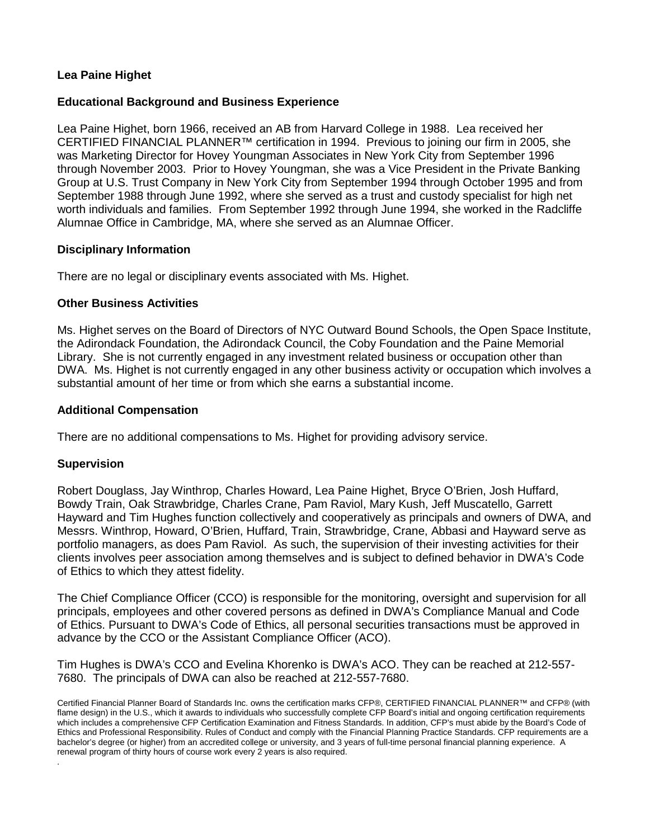# **Lea Paine Highet**

## **Educational Background and Business Experience**

Lea Paine Highet, born 1966, received an AB from Harvard College in 1988. Lea received her CERTIFIED FINANCIAL PLANNER™ certification in 1994. Previous to joining our firm in 2005, she was Marketing Director for Hovey Youngman Associates in New York City from September 1996 through November 2003. Prior to Hovey Youngman, she was a Vice President in the Private Banking Group at U.S. Trust Company in New York City from September 1994 through October 1995 and from September 1988 through June 1992, where she served as a trust and custody specialist for high net worth individuals and families. From September 1992 through June 1994, she worked in the Radcliffe Alumnae Office in Cambridge, MA, where she served as an Alumnae Officer.

#### **Disciplinary Information**

There are no legal or disciplinary events associated with Ms. Highet.

#### **Other Business Activities**

Ms. Highet serves on the Board of Directors of NYC Outward Bound Schools, the Open Space Institute, the Adirondack Foundation, the Adirondack Council, the Coby Foundation and the Paine Memorial Library. She is not currently engaged in any investment related business or occupation other than DWA. Ms. Highet is not currently engaged in any other business activity or occupation which involves a substantial amount of her time or from which she earns a substantial income.

#### **Additional Compensation**

There are no additional compensations to Ms. Highet for providing advisory service.

#### **Supervision**

.

Robert Douglass, Jay Winthrop, Charles Howard, Lea Paine Highet, Bryce O'Brien, Josh Huffard, Bowdy Train, Oak Strawbridge, Charles Crane, Pam Raviol, Mary Kush, Jeff Muscatello, Garrett Hayward and Tim Hughes function collectively and cooperatively as principals and owners of DWA, and Messrs. Winthrop, Howard, O'Brien, Huffard, Train, Strawbridge, Crane, Abbasi and Hayward serve as portfolio managers, as does Pam Raviol. As such, the supervision of their investing activities for their clients involves peer association among themselves and is subject to defined behavior in DWA's Code of Ethics to which they attest fidelity.

The Chief Compliance Officer (CCO) is responsible for the monitoring, oversight and supervision for all principals, employees and other covered persons as defined in DWA's Compliance Manual and Code of Ethics. Pursuant to DWA's Code of Ethics, all personal securities transactions must be approved in advance by the CCO or the Assistant Compliance Officer (ACO).

Certified Financial Planner Board of Standards Inc. owns the certification marks CFP®, CERTIFIED FINANCIAL PLANNER™ and CFP® (with flame design) in the U.S., which it awards to individuals who successfully complete CFP Board's initial and ongoing certification requirements which includes a comprehensive CFP Certification Examination and Fitness Standards. In addition, CFP's must abide by the Board's Code of Ethics and Professional Responsibility. Rules of Conduct and comply with the Financial Planning Practice Standards. CFP requirements are a bachelor's degree (or higher) from an accredited college or university, and 3 years of full-time personal financial planning experience. A renewal program of thirty hours of course work every 2 years is also required.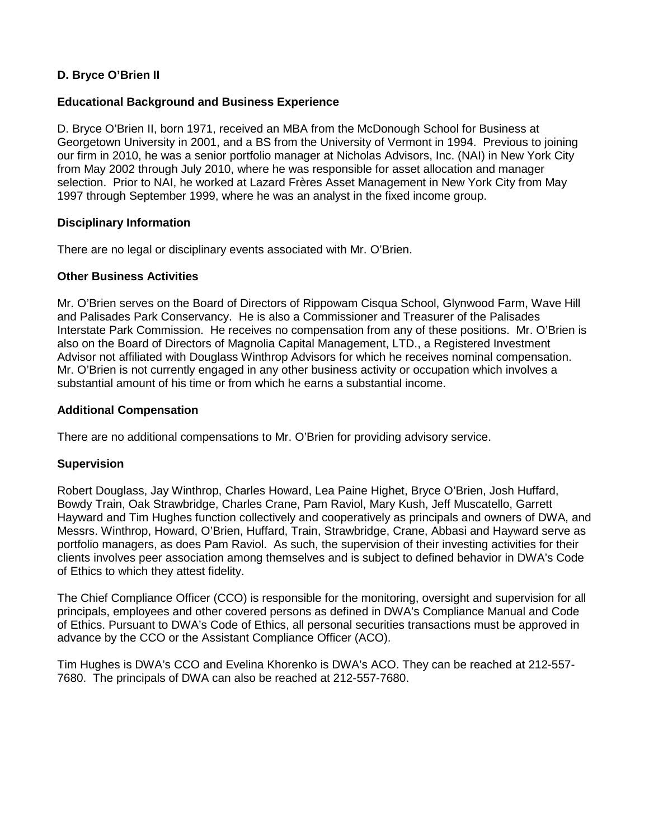# **D. Bryce O'Brien II**

# **Educational Background and Business Experience**

D. Bryce O'Brien II, born 1971, received an MBA from the McDonough School for Business at Georgetown University in 2001, and a BS from the University of Vermont in 1994. Previous to joining our firm in 2010, he was a senior portfolio manager at Nicholas Advisors, Inc. (NAI) in New York City from May 2002 through July 2010, where he was responsible for asset allocation and manager selection. Prior to NAI, he worked at Lazard Frères Asset Management in New York City from May 1997 through September 1999, where he was an analyst in the fixed income group.

# **Disciplinary Information**

There are no legal or disciplinary events associated with Mr. O'Brien.

# **Other Business Activities**

Mr. O'Brien serves on the Board of Directors of Rippowam Cisqua School, Glynwood Farm, Wave Hill and Palisades Park Conservancy. He is also a Commissioner and Treasurer of the Palisades Interstate Park Commission. He receives no compensation from any of these positions. Mr. O'Brien is also on the Board of Directors of Magnolia Capital Management, LTD., a Registered Investment Advisor not affiliated with Douglass Winthrop Advisors for which he receives nominal compensation. Mr. O'Brien is not currently engaged in any other business activity or occupation which involves a substantial amount of his time or from which he earns a substantial income.

# **Additional Compensation**

There are no additional compensations to Mr. O'Brien for providing advisory service.

#### **Supervision**

Robert Douglass, Jay Winthrop, Charles Howard, Lea Paine Highet, Bryce O'Brien, Josh Huffard, Bowdy Train, Oak Strawbridge, Charles Crane, Pam Raviol, Mary Kush, Jeff Muscatello, Garrett Hayward and Tim Hughes function collectively and cooperatively as principals and owners of DWA, and Messrs. Winthrop, Howard, O'Brien, Huffard, Train, Strawbridge, Crane, Abbasi and Hayward serve as portfolio managers, as does Pam Raviol. As such, the supervision of their investing activities for their clients involves peer association among themselves and is subject to defined behavior in DWA's Code of Ethics to which they attest fidelity.

The Chief Compliance Officer (CCO) is responsible for the monitoring, oversight and supervision for all principals, employees and other covered persons as defined in DWA's Compliance Manual and Code of Ethics. Pursuant to DWA's Code of Ethics, all personal securities transactions must be approved in advance by the CCO or the Assistant Compliance Officer (ACO).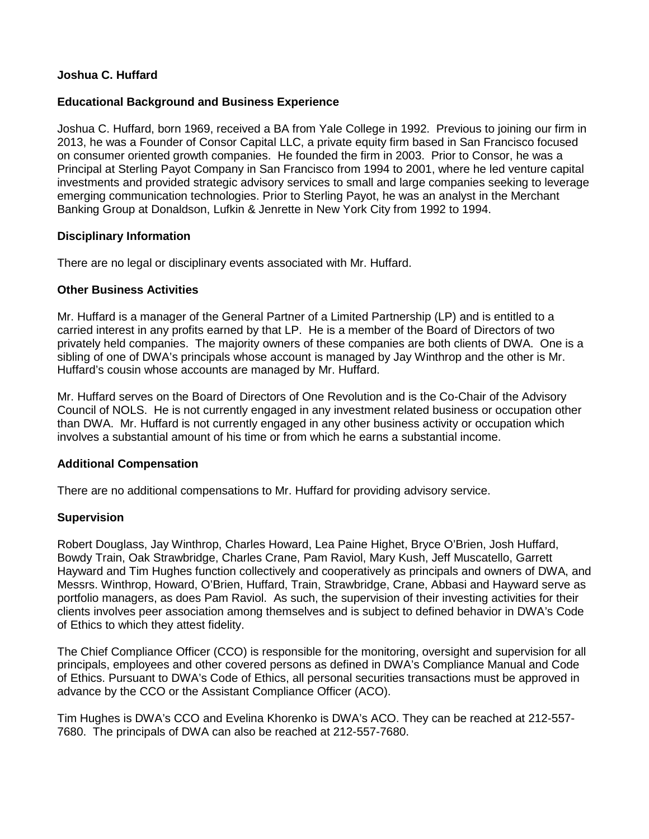# **Joshua C. Huffard**

# **Educational Background and Business Experience**

Joshua C. Huffard, born 1969, received a BA from Yale College in 1992. Previous to joining our firm in 2013, he was a Founder of Consor Capital LLC, a private equity firm based in San Francisco focused on consumer oriented growth companies. He founded the firm in 2003. Prior to Consor, he was a Principal at Sterling Payot Company in San Francisco from 1994 to 2001, where he led venture capital investments and provided strategic advisory services to small and large companies seeking to leverage emerging communication technologies. Prior to Sterling Payot, he was an analyst in the Merchant Banking Group at Donaldson, Lufkin & Jenrette in New York City from 1992 to 1994.

# **Disciplinary Information**

There are no legal or disciplinary events associated with Mr. Huffard.

# **Other Business Activities**

Mr. Huffard is a manager of the General Partner of a Limited Partnership (LP) and is entitled to a carried interest in any profits earned by that LP. He is a member of the Board of Directors of two privately held companies. The majority owners of these companies are both clients of DWA. One is a sibling of one of DWA's principals whose account is managed by Jay Winthrop and the other is Mr. Huffard's cousin whose accounts are managed by Mr. Huffard.

Mr. Huffard serves on the Board of Directors of One Revolution and is the Co-Chair of the Advisory Council of NOLS. He is not currently engaged in any investment related business or occupation other than DWA. Mr. Huffard is not currently engaged in any other business activity or occupation which involves a substantial amount of his time or from which he earns a substantial income.

# **Additional Compensation**

There are no additional compensations to Mr. Huffard for providing advisory service.

# **Supervision**

Robert Douglass, Jay Winthrop, Charles Howard, Lea Paine Highet, Bryce O'Brien, Josh Huffard, Bowdy Train, Oak Strawbridge, Charles Crane, Pam Raviol, Mary Kush, Jeff Muscatello, Garrett Hayward and Tim Hughes function collectively and cooperatively as principals and owners of DWA, and Messrs. Winthrop, Howard, O'Brien, Huffard, Train, Strawbridge, Crane, Abbasi and Hayward serve as portfolio managers, as does Pam Raviol. As such, the supervision of their investing activities for their clients involves peer association among themselves and is subject to defined behavior in DWA's Code of Ethics to which they attest fidelity.

The Chief Compliance Officer (CCO) is responsible for the monitoring, oversight and supervision for all principals, employees and other covered persons as defined in DWA's Compliance Manual and Code of Ethics. Pursuant to DWA's Code of Ethics, all personal securities transactions must be approved in advance by the CCO or the Assistant Compliance Officer (ACO).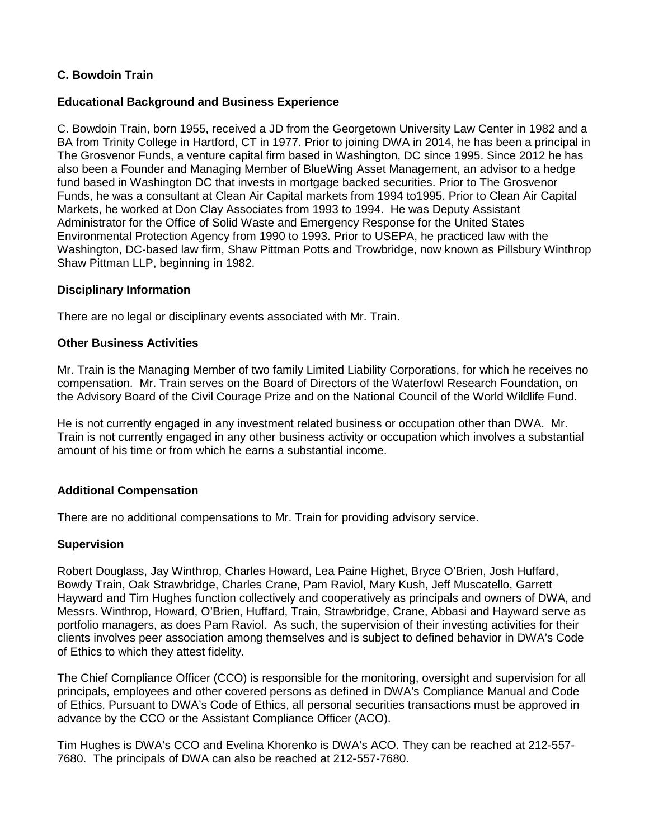# **C. Bowdoin Train**

# **Educational Background and Business Experience**

C. Bowdoin Train, born 1955, received a JD from the Georgetown University Law Center in 1982 and a BA from Trinity College in Hartford, CT in 1977. Prior to joining DWA in 2014, he has been a principal in The Grosvenor Funds, a venture capital firm based in Washington, DC since 1995. Since 2012 he has also been a Founder and Managing Member of BlueWing Asset Management, an advisor to a hedge fund based in Washington DC that invests in mortgage backed securities. Prior to The Grosvenor Funds, he was a consultant at Clean Air Capital markets from 1994 to1995. Prior to Clean Air Capital Markets, he worked at Don Clay Associates from 1993 to 1994. He was Deputy Assistant Administrator for the Office of Solid Waste and Emergency Response for the United States Environmental Protection Agency from 1990 to 1993. Prior to USEPA, he practiced law with the Washington, DC-based law firm, Shaw Pittman Potts and Trowbridge, now known as Pillsbury Winthrop Shaw Pittman LLP, beginning in 1982.

#### **Disciplinary Information**

There are no legal or disciplinary events associated with Mr. Train.

# **Other Business Activities**

Mr. Train is the Managing Member of two family Limited Liability Corporations, for which he receives no compensation. Mr. Train serves on the Board of Directors of the Waterfowl Research Foundation, on the Advisory Board of the Civil Courage Prize and on the National Council of the World Wildlife Fund.

He is not currently engaged in any investment related business or occupation other than DWA. Mr. Train is not currently engaged in any other business activity or occupation which involves a substantial amount of his time or from which he earns a substantial income.

#### **Additional Compensation**

There are no additional compensations to Mr. Train for providing advisory service.

#### **Supervision**

Robert Douglass, Jay Winthrop, Charles Howard, Lea Paine Highet, Bryce O'Brien, Josh Huffard, Bowdy Train, Oak Strawbridge, Charles Crane, Pam Raviol, Mary Kush, Jeff Muscatello, Garrett Hayward and Tim Hughes function collectively and cooperatively as principals and owners of DWA, and Messrs. Winthrop, Howard, O'Brien, Huffard, Train, Strawbridge, Crane, Abbasi and Hayward serve as portfolio managers, as does Pam Raviol. As such, the supervision of their investing activities for their clients involves peer association among themselves and is subject to defined behavior in DWA's Code of Ethics to which they attest fidelity.

The Chief Compliance Officer (CCO) is responsible for the monitoring, oversight and supervision for all principals, employees and other covered persons as defined in DWA's Compliance Manual and Code of Ethics. Pursuant to DWA's Code of Ethics, all personal securities transactions must be approved in advance by the CCO or the Assistant Compliance Officer (ACO).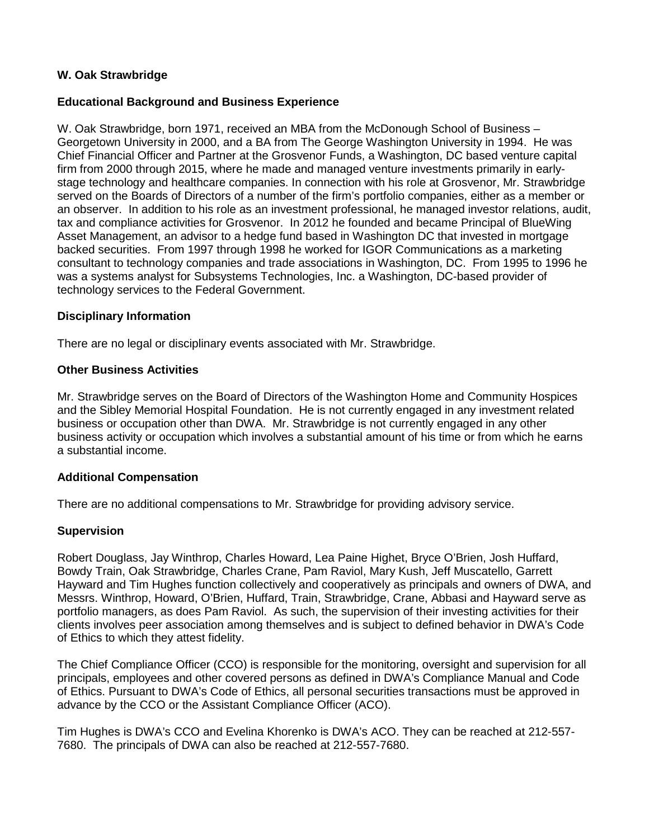# **W. Oak Strawbridge**

## **Educational Background and Business Experience**

W. Oak Strawbridge, born 1971, received an MBA from the McDonough School of Business – Georgetown University in 2000, and a BA from The George Washington University in 1994. He was Chief Financial Officer and Partner at the Grosvenor Funds, a Washington, DC based venture capital firm from 2000 through 2015, where he made and managed venture investments primarily in earlystage technology and healthcare companies. In connection with his role at Grosvenor, Mr. Strawbridge served on the Boards of Directors of a number of the firm's portfolio companies, either as a member or an observer. In addition to his role as an investment professional, he managed investor relations, audit, tax and compliance activities for Grosvenor. In 2012 he founded and became Principal of BlueWing Asset Management, an advisor to a hedge fund based in Washington DC that invested in mortgage backed securities. From 1997 through 1998 he worked for IGOR Communications as a marketing consultant to technology companies and trade associations in Washington, DC. From 1995 to 1996 he was a systems analyst for Subsystems Technologies, Inc. a Washington, DC-based provider of technology services to the Federal Government.

#### **Disciplinary Information**

There are no legal or disciplinary events associated with Mr. Strawbridge.

#### **Other Business Activities**

Mr. Strawbridge serves on the Board of Directors of the Washington Home and Community Hospices and the Sibley Memorial Hospital Foundation. He is not currently engaged in any investment related business or occupation other than DWA. Mr. Strawbridge is not currently engaged in any other business activity or occupation which involves a substantial amount of his time or from which he earns a substantial income.

#### **Additional Compensation**

There are no additional compensations to Mr. Strawbridge for providing advisory service.

#### **Supervision**

Robert Douglass, Jay Winthrop, Charles Howard, Lea Paine Highet, Bryce O'Brien, Josh Huffard, Bowdy Train, Oak Strawbridge, Charles Crane, Pam Raviol, Mary Kush, Jeff Muscatello, Garrett Hayward and Tim Hughes function collectively and cooperatively as principals and owners of DWA, and Messrs. Winthrop, Howard, O'Brien, Huffard, Train, Strawbridge, Crane, Abbasi and Hayward serve as portfolio managers, as does Pam Raviol. As such, the supervision of their investing activities for their clients involves peer association among themselves and is subject to defined behavior in DWA's Code of Ethics to which they attest fidelity.

The Chief Compliance Officer (CCO) is responsible for the monitoring, oversight and supervision for all principals, employees and other covered persons as defined in DWA's Compliance Manual and Code of Ethics. Pursuant to DWA's Code of Ethics, all personal securities transactions must be approved in advance by the CCO or the Assistant Compliance Officer (ACO).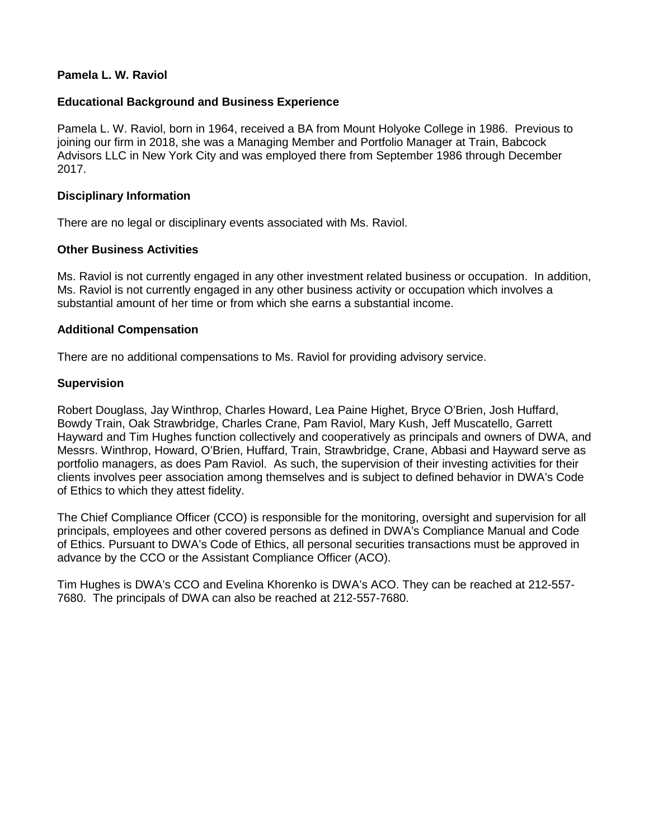# **Pamela L. W. Raviol**

# **Educational Background and Business Experience**

Pamela L. W. Raviol, born in 1964, received a BA from Mount Holyoke College in 1986. Previous to joining our firm in 2018, she was a Managing Member and Portfolio Manager at Train, Babcock Advisors LLC in New York City and was employed there from September 1986 through December 2017.

#### **Disciplinary Information**

There are no legal or disciplinary events associated with Ms. Raviol.

# **Other Business Activities**

Ms. Raviol is not currently engaged in any other investment related business or occupation. In addition, Ms. Raviol is not currently engaged in any other business activity or occupation which involves a substantial amount of her time or from which she earns a substantial income.

# **Additional Compensation**

There are no additional compensations to Ms. Raviol for providing advisory service.

# **Supervision**

Robert Douglass, Jay Winthrop, Charles Howard, Lea Paine Highet, Bryce O'Brien, Josh Huffard, Bowdy Train, Oak Strawbridge, Charles Crane, Pam Raviol, Mary Kush, Jeff Muscatello, Garrett Hayward and Tim Hughes function collectively and cooperatively as principals and owners of DWA, and Messrs. Winthrop, Howard, O'Brien, Huffard, Train, Strawbridge, Crane, Abbasi and Hayward serve as portfolio managers, as does Pam Raviol. As such, the supervision of their investing activities for their clients involves peer association among themselves and is subject to defined behavior in DWA's Code of Ethics to which they attest fidelity.

The Chief Compliance Officer (CCO) is responsible for the monitoring, oversight and supervision for all principals, employees and other covered persons as defined in DWA's Compliance Manual and Code of Ethics. Pursuant to DWA's Code of Ethics, all personal securities transactions must be approved in advance by the CCO or the Assistant Compliance Officer (ACO).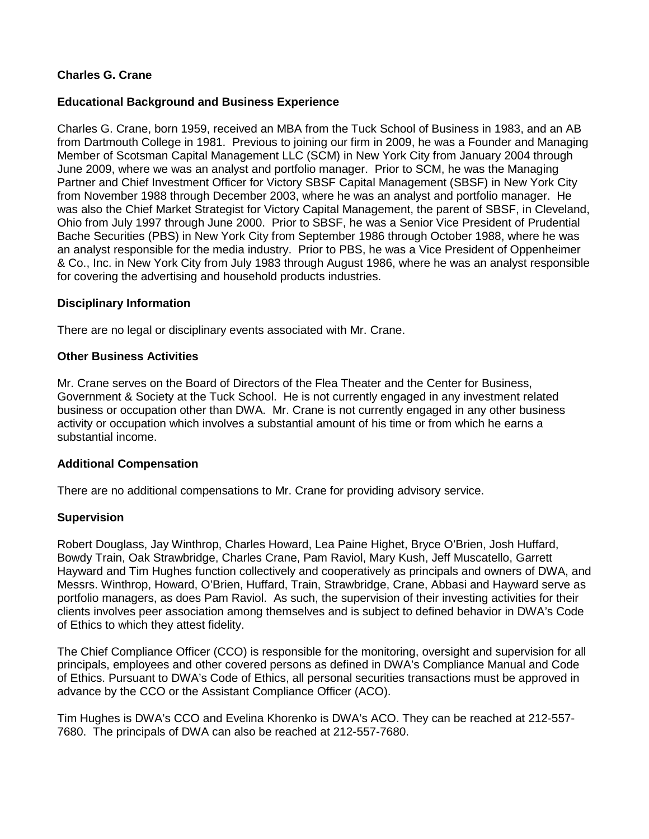# **Charles G. Crane**

# **Educational Background and Business Experience**

Charles G. Crane, born 1959, received an MBA from the Tuck School of Business in 1983, and an AB from Dartmouth College in 1981. Previous to joining our firm in 2009, he was a Founder and Managing Member of Scotsman Capital Management LLC (SCM) in New York City from January 2004 through June 2009, where we was an analyst and portfolio manager. Prior to SCM, he was the Managing Partner and Chief Investment Officer for Victory SBSF Capital Management (SBSF) in New York City from November 1988 through December 2003, where he was an analyst and portfolio manager. He was also the Chief Market Strategist for Victory Capital Management, the parent of SBSF, in Cleveland, Ohio from July 1997 through June 2000. Prior to SBSF, he was a Senior Vice President of Prudential Bache Securities (PBS) in New York City from September 1986 through October 1988, where he was an analyst responsible for the media industry. Prior to PBS, he was a Vice President of Oppenheimer & Co., Inc. in New York City from July 1983 through August 1986, where he was an analyst responsible for covering the advertising and household products industries.

# **Disciplinary Information**

There are no legal or disciplinary events associated with Mr. Crane.

#### **Other Business Activities**

Mr. Crane serves on the Board of Directors of the Flea Theater and the Center for Business, Government & Society at the Tuck School. He is not currently engaged in any investment related business or occupation other than DWA. Mr. Crane is not currently engaged in any other business activity or occupation which involves a substantial amount of his time or from which he earns a substantial income.

#### **Additional Compensation**

There are no additional compensations to Mr. Crane for providing advisory service.

#### **Supervision**

Robert Douglass, Jay Winthrop, Charles Howard, Lea Paine Highet, Bryce O'Brien, Josh Huffard, Bowdy Train, Oak Strawbridge, Charles Crane, Pam Raviol, Mary Kush, Jeff Muscatello, Garrett Hayward and Tim Hughes function collectively and cooperatively as principals and owners of DWA, and Messrs. Winthrop, Howard, O'Brien, Huffard, Train, Strawbridge, Crane, Abbasi and Hayward serve as portfolio managers, as does Pam Raviol. As such, the supervision of their investing activities for their clients involves peer association among themselves and is subject to defined behavior in DWA's Code of Ethics to which they attest fidelity.

The Chief Compliance Officer (CCO) is responsible for the monitoring, oversight and supervision for all principals, employees and other covered persons as defined in DWA's Compliance Manual and Code of Ethics. Pursuant to DWA's Code of Ethics, all personal securities transactions must be approved in advance by the CCO or the Assistant Compliance Officer (ACO).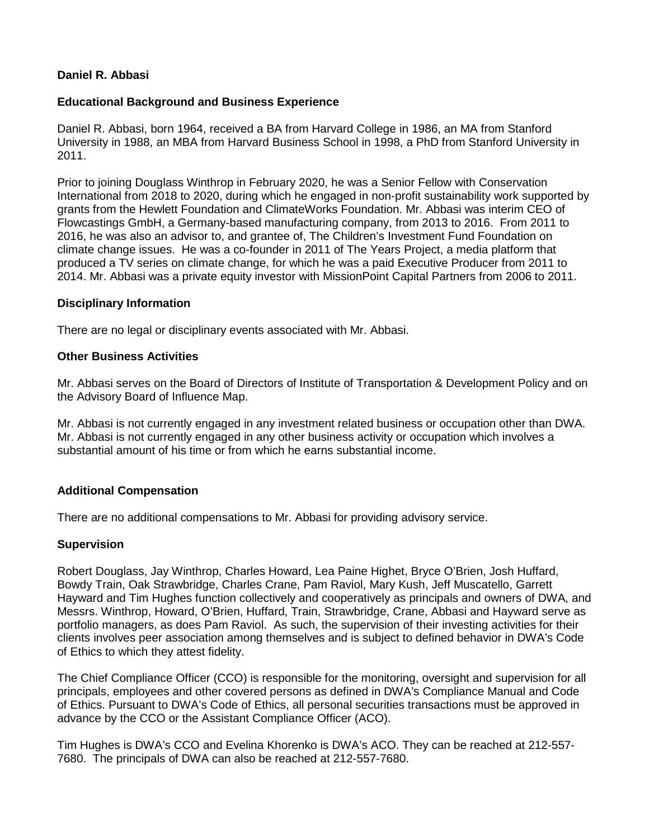# **Daniel R. Abbasi**

# **Educational Background and Business Experience**

Daniel R. Abbasi, born 1964, received a BA from Harvard College in 1986, an MA from Stanford University in 1988, an MBA from Harvard Business School in 1998, a PhD from Stanford University in 2011.

Prior to joining Douglass Winthrop in February 2020, he was a Senior Fellow with Conservation International from 2018 to 2020, during which he engaged in non-profit sustainability work supported by grants from the Hewlett Foundation and ClimateWorks Foundation. Mr. Abbasi was interim CEO of Flowcastings GmbH, a Germany-based manufacturing company, from 2013 to 2016. From 2011 to 2016, he was also an advisor to, and grantee of, The Children's Investment Fund Foundation on climate change issues. He was a co-founder in 2011 of The Years Project, a media platform that produced a TV series on climate change, for which he was a paid Executive Producer from 2011 to 2014. Mr. Abbasi was a private equity investor with MissionPoint Capital Partners from 2006 to 2011.

# **Disciplinary Information**

There are no legal or disciplinary events associated with Mr. Abbasi.

# **Other Business Activities**

Mr. Abbasi serves on the Board of Directors of Institute of Transportation & Development Policy and on the Advisory Board of Influence Map.

Mr. Abbasi is not currently engaged in any investment related business or occupation other than DWA. Mr. Abbasi is not currently engaged in any other business activity or occupation which involves a substantial amount of his time or from which he earns substantial income.

# **Additional Compensation**

There are no additional compensations to Mr. Abbasi for providing advisory service.

#### **Supervision**

Robert Douglass, Jay Winthrop, Charles Howard, Lea Paine Highet, Bryce O'Brien, Josh Huffard, Bowdy Train, Oak Strawbridge, Charles Crane, Pam Raviol, Mary Kush, Jeff Muscatello, Garrett Hayward and Tim Hughes function collectively and cooperatively as principals and owners of DWA, and Messrs. Winthrop, Howard, O'Brien, Huffard, Train, Strawbridge, Crane, Abbasi and Hayward serve as portfolio managers, as does Pam Raviol. As such, the supervision of their investing activities for their clients involves peer association among themselves and is subject to defined behavior in DWA's Code of Ethics to which they attest fidelity.

The Chief Compliance Officer (CCO) is responsible for the monitoring, oversight and supervision for all principals, employees and other covered persons as defined in DWA's Compliance Manual and Code of Ethics. Pursuant to DWA's Code of Ethics, all personal securities transactions must be approved in advance by the CCO or the Assistant Compliance Officer (ACO).